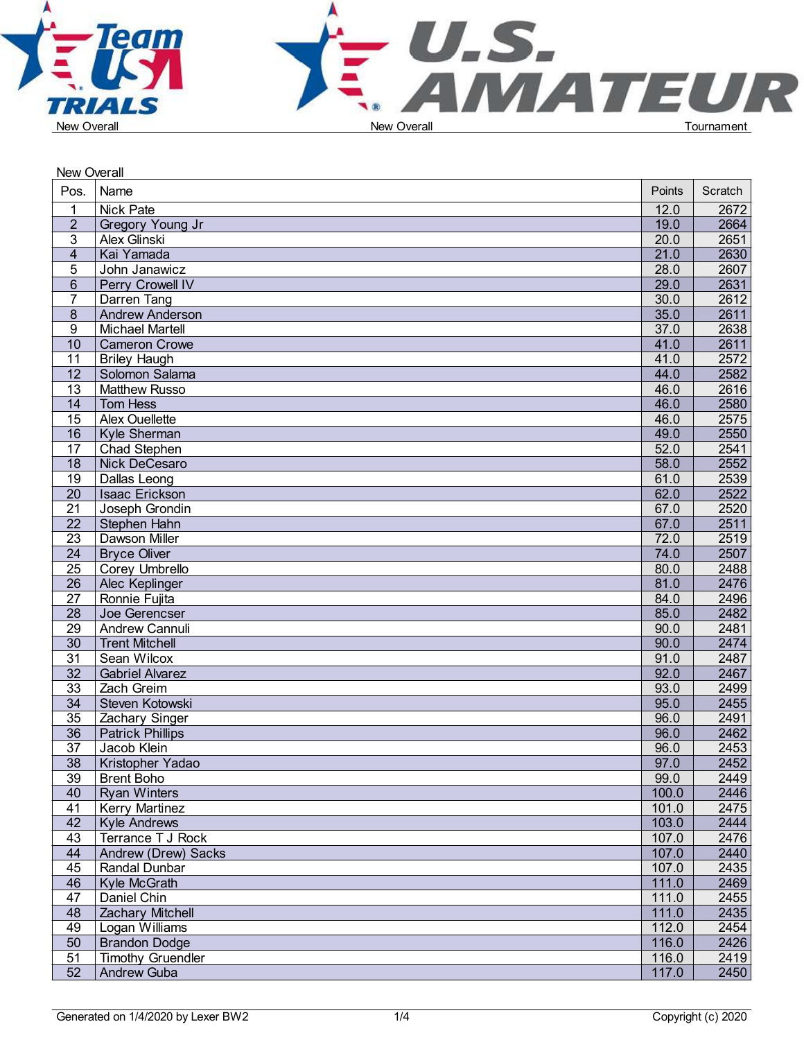



| New Overall           |                                       |        |              |  |
|-----------------------|---------------------------------------|--------|--------------|--|
| Pos.                  | Name                                  | Points | Scratch      |  |
| $\mathbf 1$           | <b>Nick Pate</b>                      | 12.0   | 2672         |  |
| $\overline{2}$        | Gregory Young Jr                      | 19.0   | 2664         |  |
| 3                     | Alex Glinski                          | 20.0   | 2651         |  |
| $\overline{4}$        | Kai Yamada                            | 21.0   | 2630         |  |
| 5                     | John Janawicz                         | 28.0   | 2607         |  |
| $6\phantom{1}$        | Perry Crowell IV                      | 29.0   | 2631         |  |
| $\overline{7}$        | Darren Tang                           | 30.0   | 2612         |  |
| $\boldsymbol{8}$      | Andrew Anderson                       | 35.0   | 2611         |  |
| 9                     | <b>Michael Martell</b>                | 37.0   | 2638         |  |
| 10                    | <b>Cameron Crowe</b>                  | 41.0   | 2611         |  |
| 11                    | <b>Briley Haugh</b>                   | 41.0   | 2572         |  |
| 12                    | Solomon Salama                        | 44.0   | 2582         |  |
| $\overline{13}$       | <b>Matthew Russo</b>                  | 46.0   | 2616         |  |
| 14                    | Tom Hess                              | 46.0   | 2580         |  |
| 15                    | <b>Alex Ouellette</b>                 | 46.0   | 2575         |  |
| 16                    | Kyle Sherman                          | 49.0   | 2550         |  |
| 17                    | Chad Stephen                          | 52.0   | 2541         |  |
| 18                    |                                       | 58.0   | 2552         |  |
|                       | Nick DeCesaro                         | 61.0   |              |  |
| 19<br>$\overline{20}$ | Dallas Leong<br><b>Isaac Erickson</b> | 62.0   | 2539<br>2522 |  |
|                       |                                       |        |              |  |
| $\overline{21}$       | Joseph Grondin                        | 67.0   | 2520         |  |
| $\overline{22}$       | Stephen Hahn                          | 67.0   | 2511         |  |
| $\overline{23}$       | Dawson Miller                         | 72.0   | 2519         |  |
| $\overline{24}$       | <b>Bryce Oliver</b>                   | 74.0   | 2507         |  |
| 25                    | Corey Umbrello                        | 80.0   | 2488         |  |
| $\overline{26}$       | Alec Keplinger                        | 81.0   | 2476         |  |
| 27                    | Ronnie Fujita                         | 84.0   | 2496         |  |
| $\overline{28}$       | Joe Gerencser                         | 85.0   | 2482         |  |
| 29                    | Andrew Cannuli                        | 90.0   | 2481         |  |
| $\overline{30}$       | <b>Trent Mitchell</b>                 | 90.0   | 2474         |  |
| $\overline{31}$       | Sean Wilcox                           | 91.0   | 2487         |  |
| $\overline{32}$       | <b>Gabriel Alvarez</b>                | 92.0   | 2467         |  |
| $\overline{33}$       | Zach Greim                            | 93.0   | 2499         |  |
| $\overline{34}$       | Steven Kotowski                       | 95.0   | 2455         |  |
| $\overline{35}$       | Zachary Singer                        | 96.0   | 2491         |  |
| $\overline{36}$       | <b>Patrick Phillips</b>               | 96.0   | 2462         |  |
| $\overline{37}$       | Jacob Klein                           | 96.0   | 2453         |  |
| 38                    | Kristopher Yadao                      | 97.0   | 2452         |  |
| 39                    | <b>Brent Boho</b>                     | 99.0   | 2449         |  |
| 40                    | <b>Ryan Winters</b>                   | 100.0  | 2446         |  |
| 41                    | <b>Kerry Martinez</b>                 | 101.0  | 2475         |  |
| 42                    | <b>Kyle Andrews</b>                   | 103.0  | 2444         |  |
| 43                    | Terrance T J Rock                     | 107.0  | 2476         |  |
| 44                    | Andrew (Drew) Sacks                   | 107.0  | 2440         |  |
| 45                    | Randal Dunbar                         | 107.0  | 2435         |  |
| 46                    | Kyle McGrath                          | 111.0  | 2469         |  |
| 47                    | Daniel Chin                           | 111.0  | 2455         |  |
| 48                    | Zachary Mitchell                      | 111.0  | 2435         |  |
| 49                    | Logan Williams                        | 112.0  | 2454         |  |
| 50                    | <b>Brandon Dodge</b>                  | 116.0  | 2426         |  |
| 51                    | <b>Timothy Gruendler</b>              | 116.0  | 2419         |  |
| 52                    | Andrew Guba                           | 117.0  | 2450         |  |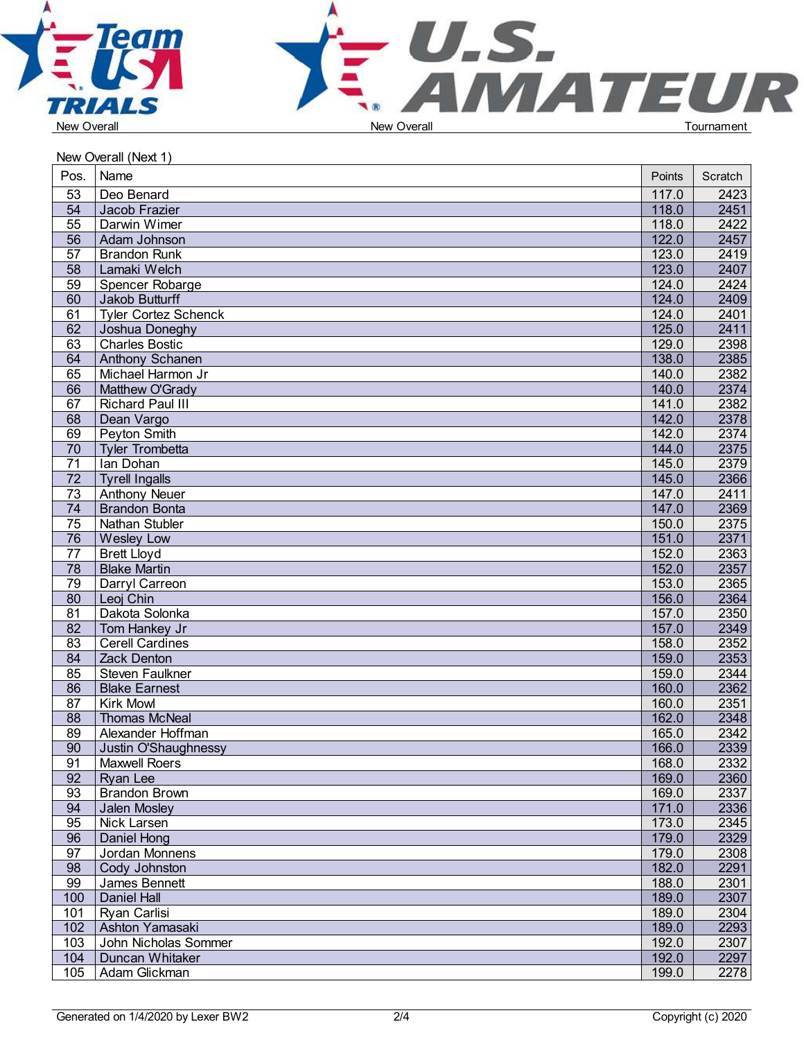



|                 | New Overall (Next 1)                    |        |         |  |
|-----------------|-----------------------------------------|--------|---------|--|
| Pos.            | Name                                    | Points | Scratch |  |
| $\overline{53}$ | Deo Benard                              | 117.0  | 2423    |  |
| 54              | Jacob Frazier                           | 118.0  | 2451    |  |
| 55              | Darwin Wimer                            | 118.0  | 2422    |  |
| $\overline{56}$ | Adam Johnson                            | 122.0  | 2457    |  |
| $\overline{57}$ | <b>Brandon Runk</b>                     | 123.0  | 2419    |  |
| $\overline{58}$ | Lamaki Welch                            | 123.0  | 2407    |  |
| 59              | Spencer Robarge                         | 124.0  | 2424    |  |
| 60              | Jakob Butturff                          | 124.0  | 2409    |  |
| 61              | <b>Tyler Cortez Schenck</b>             | 124.0  | 2401    |  |
| 62              | Joshua Doneghy                          | 125.0  | 2411    |  |
| 63              | <b>Charles Bostic</b>                   | 129.0  | 2398    |  |
| 64              | Anthony Schanen                         | 138.0  | 2385    |  |
| 65              | Michael Harmon Jr                       | 140.0  | 2382    |  |
| 66              | Matthew O'Grady                         | 140.0  | 2374    |  |
| 67              | <b>Richard Paul III</b>                 | 141.0  | 2382    |  |
| 68              | Dean Vargo                              | 142.0  | 2378    |  |
| 69              | Peyton Smith                            | 142.0  | 2374    |  |
| $\overline{70}$ | <b>Tyler Trombetta</b>                  | 144.0  | 2375    |  |
| $\overline{71}$ | Ian Dohan                               | 145.0  | 2379    |  |
| 72              | <b>Tyrell Ingalls</b>                   | 145.0  | 2366    |  |
| $\overline{73}$ | <b>Anthony Neuer</b>                    | 147.0  | 2411    |  |
| $\overline{74}$ | <b>Brandon Bonta</b>                    | 147.0  | 2369    |  |
| $\overline{75}$ | Nathan Stubler                          | 150.0  | 2375    |  |
| 76              |                                         | 151.0  | 2371    |  |
| $\overline{77}$ | <b>Wesley Low</b><br><b>Brett Lloyd</b> | 152.0  | 2363    |  |
| $\overline{78}$ | <b>Blake Martin</b>                     | 152.0  | 2357    |  |
| 79              |                                         |        |         |  |
|                 | Darryl Carreon                          | 153.0  | 2365    |  |
| 80              | Leoj Chin                               | 156.0  | 2364    |  |
| 81              | Dakota Solonka                          | 157.0  | 2350    |  |
| 82              | Tom Hankey Jr                           | 157.0  | 2349    |  |
| 83              | <b>Cerell Cardines</b>                  | 158.0  | 2352    |  |
| 84              | Zack Denton                             | 159.0  | 2353    |  |
| 85              | Steven Faulkner                         | 159.0  | 2344    |  |
| 86              | <b>Blake Earnest</b>                    | 160.0  | 2362    |  |
| 87              | <b>Kirk Mowl</b>                        | 160.0  | 2351    |  |
| $\overline{88}$ | <b>Thomas McNeal</b>                    | 162.0  | 2348    |  |
| 89              | Alexander Hoffman                       | 165.0  | 2342    |  |
| 90              | Justin O'Shaughnessy                    | 166.0  | 2339    |  |
| 91              | <b>Maxwell Roers</b>                    | 168.0  | 2332    |  |
| 92              | Ryan Lee                                | 169.0  | 2360    |  |
| 93              | <b>Brandon Brown</b>                    | 169.0  | 2337    |  |
| 94              | Jalen Mosley                            | 171.0  | 2336    |  |
| 95              | Nick Larsen                             | 173.0  | 2345    |  |
| 96              | Daniel Hong                             | 179.0  | 2329    |  |
| 97              | Jordan Monnens                          | 179.0  | 2308    |  |
| 98              | Cody Johnston                           | 182.0  | 2291    |  |
| 99              | James Bennett                           | 188.0  | 2301    |  |
| 100             | Daniel Hall                             | 189.0  | 2307    |  |
| 101             | Ryan Carlisi                            | 189.0  | 2304    |  |
| 102             | Ashton Yamasaki                         | 189.0  | 2293    |  |
| 103             | John Nicholas Sommer                    | 192.0  | 2307    |  |
| 104             | Duncan Whitaker                         | 192.0  | 2297    |  |
| 105             | Adam Glickman                           | 199.0  | 2278    |  |
|                 |                                         |        |         |  |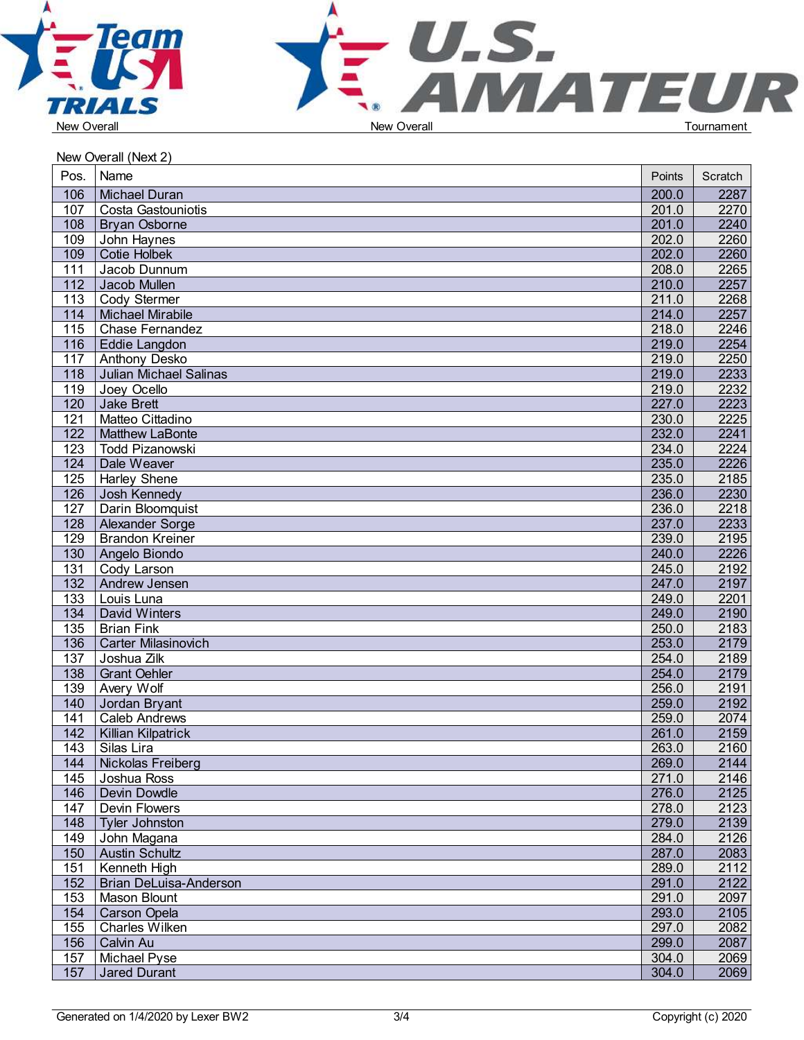



|                  | New Overall (Next 2)     |        |         |  |
|------------------|--------------------------|--------|---------|--|
| Pos.             | Name                     | Points | Scratch |  |
| 106              | Michael Duran            | 200.0  | 2287    |  |
| 107              | Costa Gastouniotis       | 201.0  | 2270    |  |
| 108              | <b>Bryan Osborne</b>     | 201.0  | 2240    |  |
| 109              | John Haynes              | 202.0  | 2260    |  |
| 109              | Cotie Holbek             | 202.0  | 2260    |  |
| 111              | Jacob Dunnum             | 208.0  | 2265    |  |
| 112              | Jacob Mullen             | 210.0  | 2257    |  |
| 113              | Cody Stermer             | 211.0  | 2268    |  |
| 114              | Michael Mirabile         | 214.0  | 2257    |  |
| 115              | Chase Fernandez          | 218.0  | 2246    |  |
|                  | 116   Eddie Langdon      | 219.0  | 2254    |  |
| 117              | Anthony Desko            | 219.0  | 2250    |  |
| 118              | Julian Michael Salinas   | 219.0  | 2233    |  |
| 119              | Joey Ocello              | 219.0  | 2232    |  |
| 120              | Jake Brett               | 227.0  | 2223    |  |
| 121              | Matteo Cittadino         | 230.0  | 2225    |  |
| 122              | Matthew LaBonte          | 232.0  | 2241    |  |
| 123              | Todd Pizanowski          | 234.0  | 2224    |  |
| 124              | Dale Weaver              | 235.0  | 2226    |  |
| 125              | <b>Harley Shene</b>      | 235.0  | 2185    |  |
| $\overline{126}$ | Josh Kennedy             | 236.0  | 2230    |  |
| 127              | Darin Bloomquist         | 236.0  | 2218    |  |
| 128              | Alexander Sorge          | 237.0  | 2233    |  |
| 129              | Brandon Kreiner          | 239.0  | 2195    |  |
| 130              |                          | 240.0  | 2226    |  |
|                  | Angelo Biondo            |        |         |  |
| 131              | Cody Larson              | 245.0  | 2192    |  |
| 132              | Andrew Jensen            | 247.0  | 2197    |  |
| 133              | Louis Luna               | 249.0  | 2201    |  |
| 134              | David Winters            | 249.0  | 2190    |  |
| 135              | <b>Brian Fink</b>        | 250.0  | 2183    |  |
| 136              | Carter Milasinovich      | 253.0  | 2179    |  |
| $\overline{137}$ | Joshua Zilk              | 254.0  | 2189    |  |
| $\overline{138}$ | Grant Oehler             | 254.0  | 2179    |  |
| 139              | Avery Wolf               | 256.0  | 2191    |  |
| 140              | Jordan Bryant            | 259.0  | 2192    |  |
| 141              | <b>Caleb Andrews</b>     | 259.0  | 2074    |  |
|                  | 142   Killian Kilpatrick | 261.0  | 2159    |  |
| 143              | Silas Lira               | 263.0  | 2160    |  |
| 144              | Nickolas Freiberg        | 269.0  | 2144    |  |
| 145              | Joshua Ross              | 271.0  | 2146    |  |
| 146              | Devin Dowdle             | 276.0  | 2125    |  |
| 147              | Devin Flowers            | 278.0  | 2123    |  |
| 148              | Tyler Johnston           | 279.0  | 2139    |  |
| 149              | John Magana              | 284.0  | 2126    |  |
| 150              | Austin Schultz           | 287.0  | 2083    |  |
| 151              | Kenneth High             | 289.0  | 2112    |  |
| 152              | Brian DeLuisa-Anderson   | 291.0  | 2122    |  |
| 153              | Mason Blount             | 291.0  | 2097    |  |
| 154              | Carson Opela             | 293.0  | 2105    |  |
| 155              | <b>Charles Wilken</b>    | 297.0  | 2082    |  |
| 156              | Calvin Au                | 299.0  | 2087    |  |
| 157              | Michael Pyse             | 304.0  | 2069    |  |
| 157              | Jared Durant             | 304.0  | 2069    |  |
|                  |                          |        |         |  |